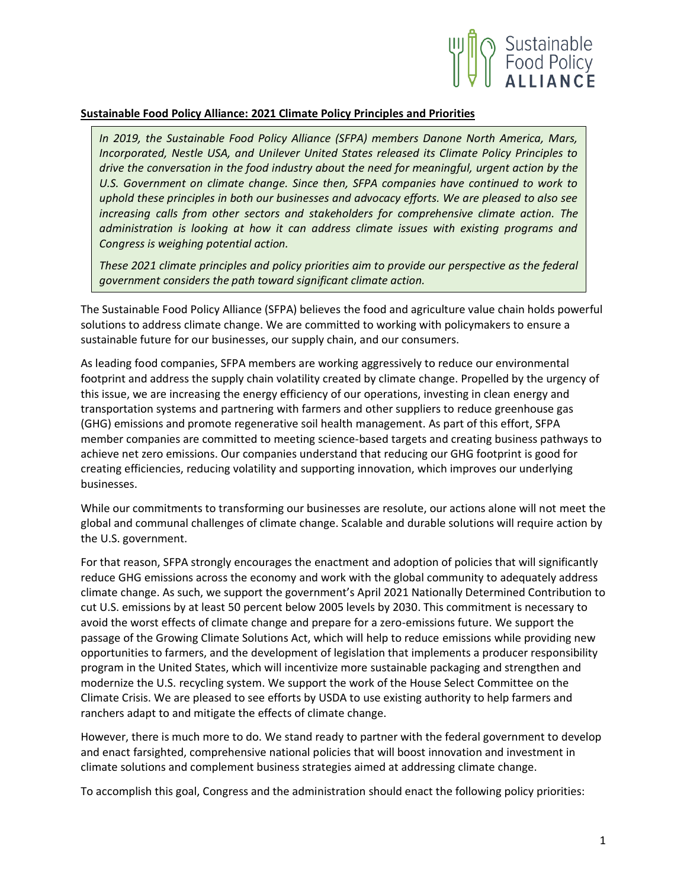

## **Sustainable Food Policy Alliance: 2021 Climate Policy Principles and Priorities**

*In 2019, the Sustainable Food Policy Alliance (SFPA) members Danone North America, Mars, Incorporated, Nestle USA, and Unilever United States released its Climate Policy Principles to drive the conversation in the food industry about the need for meaningful, urgent action by the U.S. Government on climate change. Since then, SFPA companies have continued to work to uphold these principles in both our businesses and advocacy efforts. We are pleased to also see increasing calls from other sectors and stakeholders for comprehensive climate action. The administration is looking at how it can address climate issues with existing programs and Congress is weighing potential action.*

*These 2021 climate principles and policy priorities aim to provide our perspective as the federal government considers the path toward significant climate action.* 

The Sustainable Food Policy Alliance (SFPA) believes the food and agriculture value chain holds powerful solutions to address climate change. We are committed to working with policymakers to ensure a sustainable future for our businesses, our supply chain, and our consumers.

As leading food companies, SFPA members are working aggressively to reduce our environmental footprint and address the supply chain volatility created by climate change. Propelled by the urgency of this issue, we are increasing the energy efficiency of our operations, investing in clean energy and transportation systems and partnering with farmers and other suppliers to reduce greenhouse gas (GHG) emissions and promote regenerative soil health management. As part of this effort, SFPA member companies are committed to meeting science-based targets and creating business pathways to achieve net zero emissions. Our companies understand that reducing our GHG footprint is good for creating efficiencies, reducing volatility and supporting innovation, which improves our underlying businesses.

While our commitments to transforming our businesses are resolute, our actions alone will not meet the global and communal challenges of climate change. Scalable and durable solutions will require action by the U.S. government.

For that reason, SFPA strongly encourages the enactment and adoption of policies that will significantly reduce GHG emissions across the economy and work with the global community to adequately address climate change. As such, we support the government's April 2021 Nationally Determined Contribution to cut U.S. emissions by at least 50 percent below 2005 levels by 2030. This commitment is necessary to avoid the worst effects of climate change and prepare for a zero-emissions future. We support the passage of the Growing Climate Solutions Act, which will help to reduce emissions while providing new opportunities to farmers, and the development of legislation that implements a producer responsibility program in the United States, which will incentivize more sustainable packaging and strengthen and modernize the U.S. recycling system. We support the work of the House Select Committee on the Climate Crisis. We are pleased to see efforts by USDA to use existing authority to help farmers and ranchers adapt to and mitigate the effects of climate change.

However, there is much more to do. We stand ready to partner with the federal government to develop and enact farsighted, comprehensive national policies that will boost innovation and investment in climate solutions and complement business strategies aimed at addressing climate change.

To accomplish this goal, Congress and the administration should enact the following policy priorities: